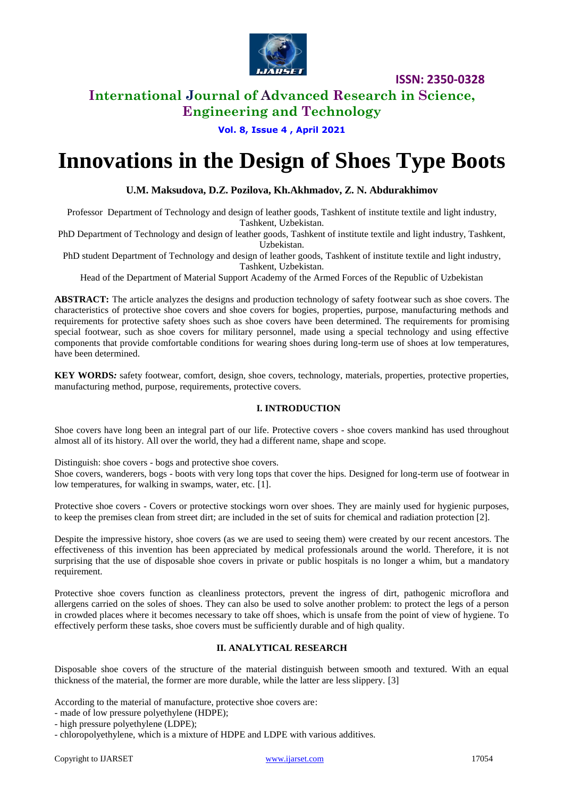

**ISSN: 2350-0328**

### **International Journal of Advanced Research in Science, Engineering and Technology**

**Vol. 8, Issue 4 , April 2021**

# **Innovations in the Design of Shoes Type Boots**

### **U.M. Maksudova, D.Z. Pozilova, Kh.Akhmadov, Z. N. Abdurakhimov**

Professor Department of Technology and design of leather goods, Tashkent of institute textile and light industry, Tashkent, Uzbekistan.

PhD Department of Technology and design of leather goods, Tashkent of institute textile and light industry, Tashkent, Uzbekistan.

PhD student Department of Technology and design of leather goods, Tashkent of institute textile and light industry, Tashkent, Uzbekistan.

Head of the Department of Material Support Academy of the Armed Forces of the Republic of Uzbekistan

**ABSTRACT:** The article analyzes the designs and production technology of safety footwear such as shoe covers. The characteristics of protective shoe covers and shoe covers for bogies, properties, purpose, manufacturing methods and requirements for protective safety shoes such as shoe covers have been determined. The requirements for promising special footwear, such as shoe covers for military personnel, made using a special technology and using effective components that provide comfortable conditions for wearing shoes during long-term use of shoes at low temperatures, have been determined.

**KEY WORDS***:* safety footwear, comfort, design, shoe covers, technology, materials, properties, protective properties, manufacturing method, purpose, requirements, protective covers.

#### **I. INTRODUCTION**

Shoe covers have long been an integral part of our life. Protective covers - shoe covers mankind has used throughout almost all of its history. All over the world, they had a different name, shape and scope.

Distinguish: shoe covers - bogs and protective shoe covers.

Shoe covers, wanderers, bogs - boots with very long tops that cover the hips. Designed for long-term use of footwear in low temperatures, for walking in swamps, water, etc. [1].

Protective shoe covers - Covers or protective stockings worn over shoes. They are mainly used for hygienic purposes, to keep the premises clean from street dirt; are included in the set of suits for chemical and radiation protection [2].

Despite the impressive history, shoe covers (as we are used to seeing them) were created by our recent ancestors. The effectiveness of this invention has been appreciated by medical professionals around the world. Therefore, it is not surprising that the use of disposable shoe covers in private or public hospitals is no longer a whim, but a mandatory requirement.

Protective shoe covers function as cleanliness protectors, prevent the ingress of dirt, pathogenic microflora and allergens carried on the soles of shoes. They can also be used to solve another problem: to protect the legs of a person in crowded places where it becomes necessary to take off shoes, which is unsafe from the point of view of hygiene. To effectively perform these tasks, shoe covers must be sufficiently durable and of high quality.

#### **II. ANALYTICAL RESEARCH**

Disposable shoe covers of the structure of the material distinguish between smooth and textured. With an equal thickness of the material, the former are more durable, while the latter are less slippery. [3]

According to the material of manufacture, protective shoe covers are:

- made of low pressure polyethylene (HDPE);

- high pressure polyethylene (LDPE);

- chloropolyethylene, which is a mixture of HDPE and LDPE with various additives.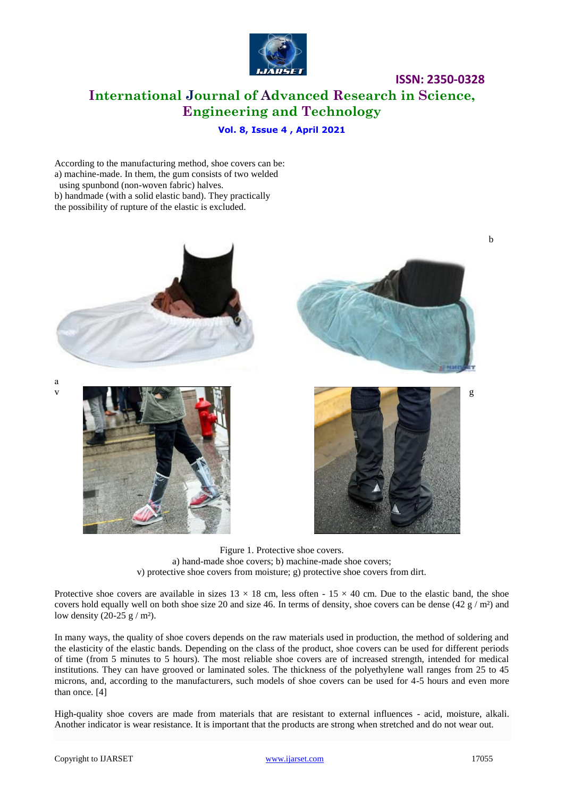

### **ISSN: 2350-0328 International Journal of Advanced Research in Science, Engineering and Technology**

### **Vol. 8, Issue 4 , April 2021**

According to the manufacturing method, shoe covers can be: a) machine-made. In them, the gum consists of two welded using spunbond (non-woven fabric) halves. b) handmade (with a solid elastic band). They practically

the possibility of rupture of the elastic is excluded.



Figure 1. Protective shoe covers. a) hand-made shoe covers; b) machine-made shoe covers; v) protective shoe covers from moisture; g) protective shoe covers from dirt.

Protective shoe covers are available in sizes  $13 \times 18$  cm, less often -  $15 \times 40$  cm. Due to the elastic band, the shoe covers hold equally well on both shoe size 20 and size 46. In terms of density, shoe covers can be dense  $(42 g/m<sup>2</sup>)$  and low density  $(20-25 \text{ g} / \text{m}^2)$ .

In many ways, the quality of shoe covers depends on the raw materials used in production, the method of soldering and the elasticity of the elastic bands. Depending on the class of the product, shoe covers can be used for different periods of time (from 5 minutes to 5 hours). The most reliable shoe covers are of increased strength, intended for medical institutions. They can have grooved or laminated soles. The thickness of the polyethylene wall ranges from 25 to 45 microns, and, according to the manufacturers, such models of shoe covers can be used for 4-5 hours and even more than once. [4]

High-quality shoe covers are made from materials that are resistant to external influences - acid, moisture, alkali. Another indicator is wear resistance. It is important that the products are strong when stretched and do not wear out.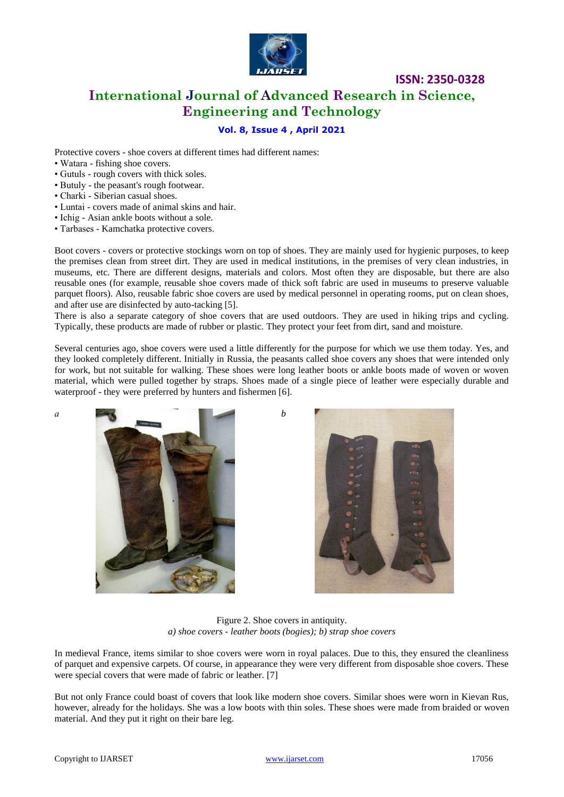

### **ISSN: 2350-0328 International Journal of Advanced Research in Science, Engineering and Technology**

### **Vol. 8, Issue 4 , April 2021**

Protective covers - shoe covers at different times had different names:

- Watara fishing shoe covers.
- Gutuls rough covers with thick soles.
- Butuly the peasant's rough footwear.
- Charki Siberian casual shoes.
- Luntai covers made of animal skins and hair.
- Ichig Asian ankle boots without a sole.
- Tarbases Kamchatka protective covers.

Boot covers - covers or protective stockings worn on top of shoes. They are mainly used for hygienic purposes, to keep the premises clean from street dirt. They are used in medical institutions, in the premises of very clean industries, in museums, etc. There are different designs, materials and colors. Most often they are disposable, but there are also reusable ones (for example, reusable shoe covers made of thick soft fabric are used in museums to preserve valuable parquet floors). Also, reusable fabric shoe covers are used by medical personnel in operating rooms, put on clean shoes, and after use are disinfected by auto-tacking [5].

There is also a separate category of shoe covers that are used outdoors. They are used in hiking trips and cycling. Typically, these products are made of rubber or plastic. They protect your feet from dirt, sand and moisture.

Several centuries ago, shoe covers were used a little differently for the purpose for which we use them today. Yes, and they looked completely different. Initially in Russia, the peasants called shoe covers any shoes that were intended only for work, but not suitable for walking. These shoes were long leather boots or ankle boots made of woven or woven material, which were pulled together by straps. Shoes made of a single piece of leather were especially durable and waterproof - they were preferred by hunters and fishermen [6].





Figure 2. Shoe covers in antiquity. *a) shoe covers - leather boots (bogies); b) strap shoe covers*

In medieval France, items similar to shoe covers were worn in royal palaces. Due to this, they ensured the cleanliness of parquet and expensive carpets. Of course, in appearance they were very different from disposable shoe covers. These were special covers that were made of fabric or leather. [7]

But not only France could boast of covers that look like modern shoe covers. Similar shoes were worn in Kievan Rus, however, already for the holidays. She was a low boots with thin soles. These shoes were made from braided or woven material. And they put it right on their bare leg.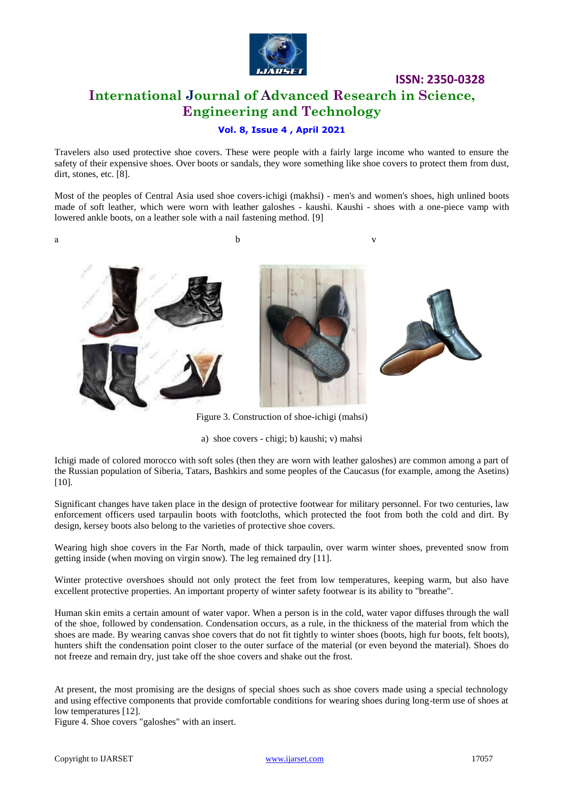

### **ISSN: 2350-0328 International Journal of Advanced Research in Science, Engineering and Technology**

### **Vol. 8, Issue 4 , April 2021**

Travelers also used protective shoe covers. These were people with a fairly large income who wanted to ensure the safety of their expensive shoes. Over boots or sandals, they wore something like shoe covers to protect them from dust, dirt, stones, etc. [8].

Most of the peoples of Central Asia used shoe covers-ichigi (makhsi) - men's and women's shoes, high unlined boots made of soft leather, which were worn with leather galoshes - kaushi. Kaushi - shoes with a one-piece vamp with lowered ankle boots, on a leather sole with a nail fastening method. [9]

a b v



Figure 3. Construction of shoe-ichigi (mahsi)

a) shoe covers - chigi; b) kaushi; v) mahsi

Ichigi made of colored morocco with soft soles (then they are worn with leather galoshes) are common among a part of the Russian population of Siberia, Tatars, Bashkirs and some peoples of the Caucasus (for example, among the Asetins) [10].

Significant changes have taken place in the design of protective footwear for military personnel. For two centuries, law enforcement officers used tarpaulin boots with footcloths, which protected the foot from both the cold and dirt. By design, kersey boots also belong to the varieties of protective shoe covers.

Wearing high shoe covers in the Far North, made of thick tarpaulin, over warm winter shoes, prevented snow from getting inside (when moving on virgin snow). The leg remained dry [11].

Winter protective overshoes should not only protect the feet from low temperatures, keeping warm, but also have excellent protective properties. An important property of winter safety footwear is its ability to "breathe".

Human skin emits a certain amount of water vapor. When a person is in the cold, water vapor diffuses through the wall of the shoe, followed by condensation. Condensation occurs, as a rule, in the thickness of the material from which the shoes are made. By wearing canvas shoe covers that do not fit tightly to winter shoes (boots, high fur boots, felt boots), hunters shift the condensation point closer to the outer surface of the material (or even beyond the material). Shoes do not freeze and remain dry, just take off the shoe covers and shake out the frost.

At present, the most promising are the designs of special shoes such as shoe covers made using a special technology and using effective components that provide comfortable conditions for wearing shoes during long-term use of shoes at low temperatures [12].

Figure 4. Shoe covers "galoshes" with an insert.